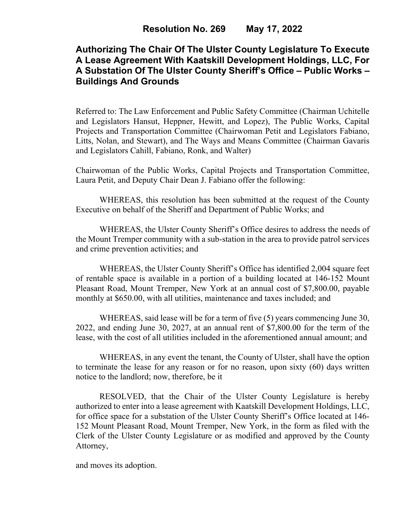# **Authorizing The Chair Of The Ulster County Legislature To Execute A Lease Agreement With Kaatskill Development Holdings, LLC, For A Substation Of The Ulster County Sheriff's Office – Public Works – Buildings And Grounds**

Referred to: The Law Enforcement and Public Safety Committee (Chairman Uchitelle and Legislators Hansut, Heppner, Hewitt, and Lopez), The Public Works, Capital Projects and Transportation Committee (Chairwoman Petit and Legislators Fabiano, Litts, Nolan, and Stewart), and The Ways and Means Committee (Chairman Gavaris and Legislators Cahill, Fabiano, Ronk, and Walter)

Chairwoman of the Public Works, Capital Projects and Transportation Committee, Laura Petit, and Deputy Chair Dean J. Fabiano offer the following:

WHEREAS, this resolution has been submitted at the request of the County Executive on behalf of the Sheriff and Department of Public Works; and

WHEREAS, the Ulster County Sheriff's Office desires to address the needs of the Mount Tremper community with a sub-station in the area to provide patrol services and crime prevention activities; and

WHEREAS, the Ulster County Sheriff's Office has identified 2,004 square feet of rentable space is available in a portion of a building located at 146-152 Mount Pleasant Road, Mount Tremper, New York at an annual cost of \$7,800.00, payable monthly at \$650.00, with all utilities, maintenance and taxes included; and

WHEREAS, said lease will be for a term of five (5) years commencing June 30, 2022, and ending June 30, 2027, at an annual rent of \$7,800.00 for the term of the lease, with the cost of all utilities included in the aforementioned annual amount; and

WHEREAS, in any event the tenant, the County of Ulster, shall have the option to terminate the lease for any reason or for no reason, upon sixty (60) days written notice to the landlord; now, therefore, be it

RESOLVED, that the Chair of the Ulster County Legislature is hereby authorized to enter into a lease agreement with Kaatskill Development Holdings, LLC, for office space for a substation of the Ulster County Sheriff's Office located at 146- 152 Mount Pleasant Road, Mount Tremper, New York, in the form as filed with the Clerk of the Ulster County Legislature or as modified and approved by the County Attorney,

and moves its adoption.